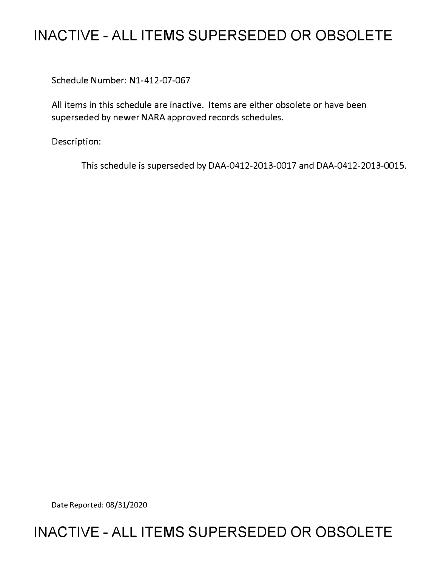## **INACTIVE - ALL ITEMS SUPERSEDED OR OBSOLETE**

Schedule Number: Nl-412-07-067

All items in this schedule are inactive. Items are either obsolete or have been superseded by newer NARA approved records schedules.

Description:

This schedule is superseded by DAA-0412-2013-0017 and DAA-0412-2013-0015.

Date Reported: 08/31/2020

## **INACTIVE - ALL ITEMS SUPERSEDED OR OBSOLETE**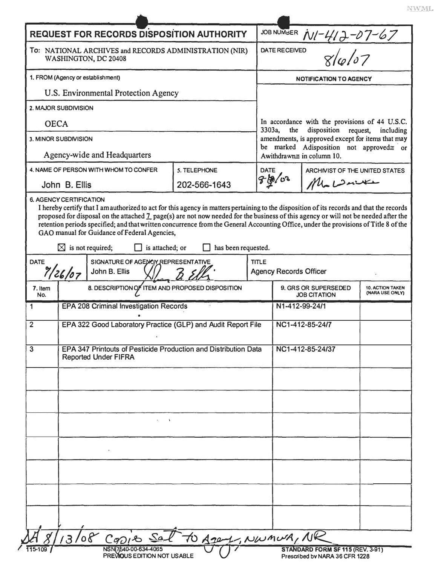| <b>REQUEST FOR RECORDS DISPOSITION AUTHORITY</b>                               |                                                                                                |                                                                                                                                                                                                                                                                                                                                               |                     |              | JOB NUMBER N/-412-07-67                                                                                                                                                                                                              |                                                                    |  |  |
|--------------------------------------------------------------------------------|------------------------------------------------------------------------------------------------|-----------------------------------------------------------------------------------------------------------------------------------------------------------------------------------------------------------------------------------------------------------------------------------------------------------------------------------------------|---------------------|--------------|--------------------------------------------------------------------------------------------------------------------------------------------------------------------------------------------------------------------------------------|--------------------------------------------------------------------|--|--|
| To: NATIONAL ARCHIVES and RECORDS ADMINISTRATION (NIR)<br>WASHINGTON, DC 20408 |                                                                                                |                                                                                                                                                                                                                                                                                                                                               |                     |              | $\frac{1}{86667}$<br><b>DATE RECEIVED</b>                                                                                                                                                                                            |                                                                    |  |  |
| 1. FROM (Agency or establishment)                                              |                                                                                                |                                                                                                                                                                                                                                                                                                                                               |                     |              | <b>NOTIFICATION TO AGENCY</b>                                                                                                                                                                                                        |                                                                    |  |  |
| U.S. Environmental Protection Agency                                           |                                                                                                |                                                                                                                                                                                                                                                                                                                                               |                     |              |                                                                                                                                                                                                                                      |                                                                    |  |  |
| 2. MAJOR SUBDIVISION                                                           |                                                                                                |                                                                                                                                                                                                                                                                                                                                               |                     |              |                                                                                                                                                                                                                                      |                                                                    |  |  |
| <b>OECA</b>                                                                    |                                                                                                |                                                                                                                                                                                                                                                                                                                                               |                     |              | In accordance with the provisions of 44 U.S.C.<br>3303a,<br>disposition<br>the<br>request,<br>including<br>amendments, is approved except for items that may<br>be marked Adisposition not approved= or<br>Awithdrawn≅ in column 10. |                                                                    |  |  |
| 3. MINOR SUBDIVISION                                                           |                                                                                                |                                                                                                                                                                                                                                                                                                                                               |                     |              |                                                                                                                                                                                                                                      |                                                                    |  |  |
| Agency-wide and Headquarters                                                   |                                                                                                |                                                                                                                                                                                                                                                                                                                                               |                     |              |                                                                                                                                                                                                                                      |                                                                    |  |  |
| 4. NAME OF PERSON WITH WHOM TO CONFER<br>5. TELEPHONE                          |                                                                                                |                                                                                                                                                                                                                                                                                                                                               |                     | <b>DATE</b>  |                                                                                                                                                                                                                                      | ARCHIVIST OF THE UNITED STATES                                     |  |  |
| John B. Ellis                                                                  |                                                                                                |                                                                                                                                                                                                                                                                                                                                               | 202-566-1643        |              | 子的/03                                                                                                                                                                                                                                | $M_{\bullet}$ $D$ with                                             |  |  |
|                                                                                | $\boxtimes$ is not required;                                                                   | proposed for disposal on the attached 1 page(s) are not now needed for the business of this agency or will not be needed after the<br>retention periods specified; and that written concurrence from the General Accounting Office, under the provisions of Title 8 of the<br>GAO manual for Guidance of Federal Agencies,<br>is attached; or | has been requested. |              |                                                                                                                                                                                                                                      |                                                                    |  |  |
| SIGNATURE OF AGENCY REPRESENTATIVE<br><b>DATE</b><br>7/26/07<br>John B. Ellis  |                                                                                                |                                                                                                                                                                                                                                                                                                                                               |                     | <b>TITLE</b> | <b>Agency Records Officer</b>                                                                                                                                                                                                        |                                                                    |  |  |
| 7. Item<br>No.                                                                 |                                                                                                | 8. DESCRIPTION OF ITEM AND PROPOSED DISPOSITION                                                                                                                                                                                                                                                                                               |                     |              | 9. GRS OR SUPERSEDED<br><b>10. ACTION TAKEN</b><br>(NARA USE ONLY)<br><b>JOB CITATION</b>                                                                                                                                            |                                                                    |  |  |
| 1                                                                              | <b>EPA 208 Criminal Investigation Records</b>                                                  |                                                                                                                                                                                                                                                                                                                                               |                     |              | N1-412-99-24/1                                                                                                                                                                                                                       |                                                                    |  |  |
| $\overline{\mathbf{c}}$                                                        | EPA 322 Good Laboratory Practice (GLP) and Audit Report File                                   |                                                                                                                                                                                                                                                                                                                                               |                     |              | NC1-412-85-24/7                                                                                                                                                                                                                      |                                                                    |  |  |
| 3                                                                              | EPA 347 Printouts of Pesticide Production and Distribution Data<br><b>Reported Under FIFRA</b> |                                                                                                                                                                                                                                                                                                                                               |                     |              | NC1-412-85-24/37                                                                                                                                                                                                                     |                                                                    |  |  |
|                                                                                |                                                                                                | $27 - 1$                                                                                                                                                                                                                                                                                                                                      |                     |              |                                                                                                                                                                                                                                      |                                                                    |  |  |
|                                                                                |                                                                                                |                                                                                                                                                                                                                                                                                                                                               |                     |              |                                                                                                                                                                                                                                      |                                                                    |  |  |
|                                                                                |                                                                                                |                                                                                                                                                                                                                                                                                                                                               |                     |              |                                                                                                                                                                                                                                      |                                                                    |  |  |
|                                                                                |                                                                                                |                                                                                                                                                                                                                                                                                                                                               |                     |              |                                                                                                                                                                                                                                      |                                                                    |  |  |
| $\mathcal{O}$                                                                  |                                                                                                | 13/08 CODIE Sat to Agent, NWMUR, NR                                                                                                                                                                                                                                                                                                           |                     |              |                                                                                                                                                                                                                                      |                                                                    |  |  |
| 115-109                                                                        |                                                                                                | NSN(7540-00-634-4065<br>PREVIOUS EDITION NOT USABLE                                                                                                                                                                                                                                                                                           |                     |              |                                                                                                                                                                                                                                      | STANDARD FORM SF 115 (REV. 3-91)<br>Prescribed by NARA 36 CFR 1228 |  |  |

NWML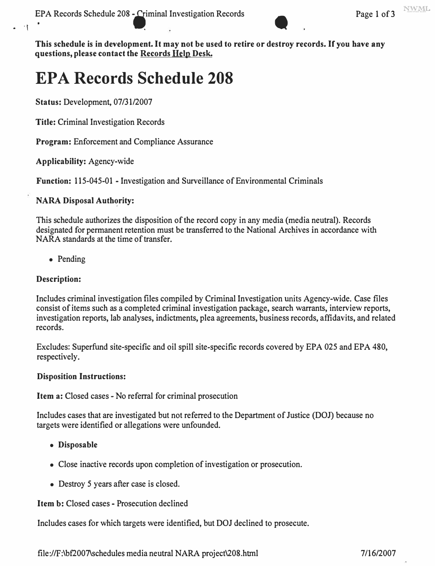

**This schedule is in development. It may not be used to retire or destroy records. If you have any questions, please contact the Records Help Desk.** 

## **EPA Records Schedule 208**

**Status:** Development, 07/31/2007

**Title:** Criminal Investigation Records

**Program:** Enforcement and Compliance Assurance

**Applicability:** Agency-wide

**Function:** 115-045-01 - Investigation and Surveillance of Environmental Criminals

## **NARA Disposal Authority:**

This schedule authorizes the disposition of the record copy in any media (media neutral). Records designated for permanent retention must be transferred to the National Archives in accordance **with**  NARA standards at the time of transfer.

• Pending

### **Description:**

Includes criminal investigation files compiled by Criminal Investigation **units** Agency-wide. Case files consist of items such as a completed criminal investigation package, search warrants, interview reports, investigation reports, lab analyses, indictments, plea agreements, business records, affidavits, and related records.

Excludes: Superfund site-specific and oil spill site-specific records covered by EPA 025 and EPA 480, respectively.

#### **Disposition Instructions:**

**Item a:** Closed cases - No referral for criminal prosecution

Includes cases that are investigated but not referred to the Department of Justice (DOJ) because no targets were identified or allegations were unfounded.

- **Disposable**
- Close inactive records upon completion of investigation or prosecution.
- Destroy *5* years after case is closed.

**Item b:** Closed cases - Prosecution declined

Includes cases for which targets were identified, but DOJ declined to prosecute.

<file://F:\bf2007\schedules>media neutral NARA project\208.html 7/16/2007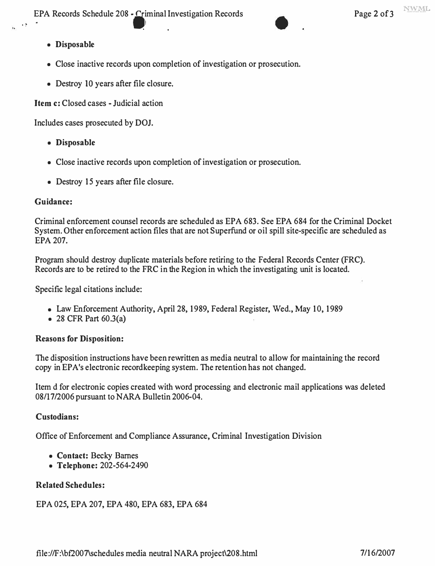**EPA Records Schedule 208 - Criminal Investigation Records Page 2 of 3**<br> **i** 

 $\mathbf{P}$ 

- **Disposable**
- **Close inactive records upon completion of investigation or prosecution.**
- **Destroy IO years after file closure.**

**Item c: Closed cases - Judicial action** 

**Includes cases prosecuted by DOJ.** 

- **Disposable**
- **Close inactive records upon completion of investigation or prosecution.**
- **Destroy 15 years after file closure.**

## **Guidance:**

**Criminal enforcement counsel records are scheduled as EPA 683. See EPA 684 for the Criminal Docket System. Other enforcement action files that are not Superfund or oil spill site-specific are scheduled as EPA 207.** 

**Program should destroy duplicate materials before retiring to the Federal Records Center (FRC). Records are to be retired to the FRC in the Region in which the investigating unit is located.** 

**Specific legal citations include:** 

- **Law Enforcement Authority, April 28, 1989, Federal Register, Wed., May 10, 1989**
- **28 CFR Part 60.3(a)**

## **Reasons for Disposition:**

**The disposition instructions have been rewritten as media neutral to allow for maintaining the record copy in EPA's electronic recordkeeping system. The retention has not changed.** 

**Item d for electronic copies created with word processing and electronic mail applications was deleted 08/17/2006 pursuant to NARA Bulletin 2006-04.** 

## **Custodians:**

**Office of Enforcement and Compliance Assurance, Criminal Investigation Division** 

- **Contact: Becky Barnes**
- **Telephone: 202-564-2490**

## **Related Schedules:**

**EPA 025, EPA 207, EPA 480, EPA 683, EPA 684**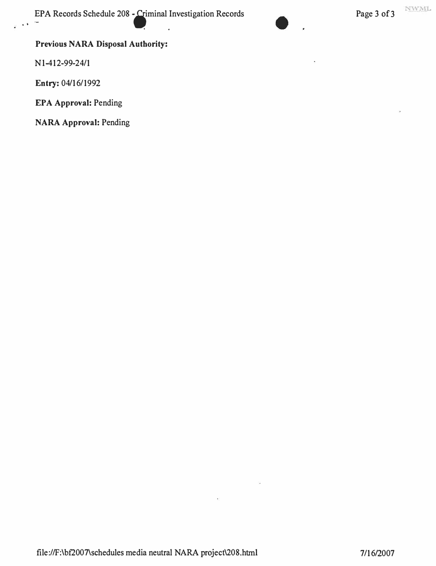:PA Records Schedule 208 - iiminal Investigation Records Page 3 of3 . • . .



## **Previous NARA Disposal Authority:**

Nl-412-99-24/1

Entry: 04/16/1992

**EPA Approval:** Pending

**NARA Approval:** Pending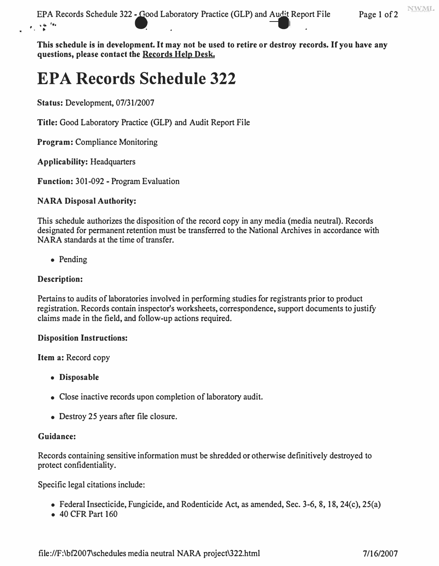NWML

 $\epsilon_{\rm in} \geq \frac{c_{\rm in} - \epsilon_{\rm in}}{h}$ Records Schedule 322 - Good Laboratory Practice (GLP) and Audit Repo

**This schedule is in development. It may not be used to retire or destroy records. If you have any questions, please contact the Records Help Desk.** 

# **EPA Records Schedule 322**

**Status:** Development, 07/31/2007

**Title:** Good Laboratory Practice (OLP) and Audit Report File

**Program:** Compliance Monitoring

**Applicability:** Headquarters

**Function:** 301-092 - Program Evaluation

#### **NARA Disposal Authority:**

This schedule authorizes the disposition of the record copy in any media (media neutral). Records designated for permanent retention must be transferred to the National Archives in accordance with NARA standards at the time of transfer.

• Pending

#### **Description:**

Pertains to audits of laboratories involved in performing studies for registrants prior to product registration. Records contain inspector's worksheets, correspondence, support documents to justify claims made in the field, and follow-up actions required.

#### **Disposition Instructions:**

**Item a:** Record copy

- **Disposable**
- Close inactive records upon completion of laboratory audit.
- Destroy 25 years after file closure.

#### **Guidance:**

Records containing sensitive information must be shredded or otherwise definitively destroyed to protect confidentiality.

Specific legal citations include:

- Federal Insecticide, Fungicide, and Rodenticide Act, as amended, Sec. 3-6, 8, 18, 24(c), 25(a)
- 40 CFR Part 160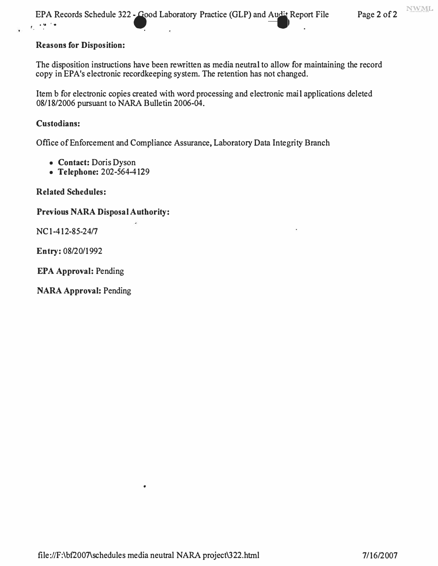#### **Reasons for Disposition:**

The disposition instructions have been rewritten as media neutral to allow for maintaining the record copy in EPA's electronic recordkeeping system. The retention has not changed.

Item b for electronic copies created with word processing and electronic mail applications deleted 08/18/2006 pursuant to NARA Bulletin 2006-04.

#### **Custodians:**

Office of Enforcement and Compliance Assurance, Laboratory Data Integrity Branch

- **Contact:** Doris Dyson
- **Telephone:** 202-564-4129

**Related Schedules:** 

#### **Previous NARA Disposal Authority:**

NC 1-412-85-24/7

**Entry:** 08/20/1992

**EPA Approval:** Pending

**NARA Approval:** Pending

•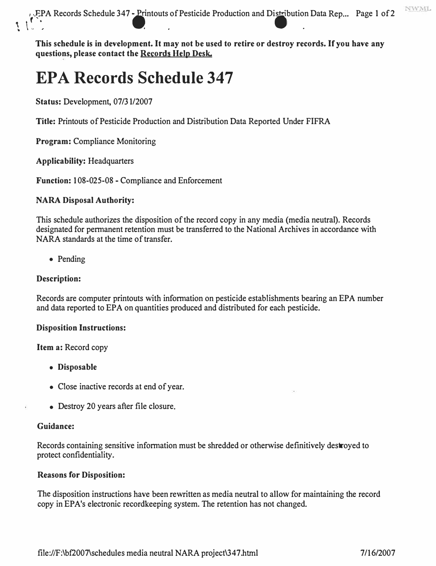$\sqrt{\sum_{i=1}^{n} P_i A}$  Records Schedule 347 - Printouts of EPA Records Schedule 347 - Printouts of Pesticide Production and Distribution Data Rep... Page 1 of 2

**This schedule is in development. It may not be used to retire or destroy records. If you have any questions, please contact the Records Help Desk.** 

# **EPA Records Schedule 347**

**Status:** Development, 07/31/2007

**Title:** Printouts of Pesticide Production and Distribution Data Reported Under FIFRA

**Program:** Compliance Monitoring

**Applicability:** Headquarters

**Function:** 108-025-08 - Compliance and Enforcement

#### **NARA Disposal Authority:**

This schedule authorizes the disposition of the record copy in any media (media neutral). Records designated for permanent retention must be transferred to the National Archives in accordance with NARA standards at the time of transfer.

• Pending

#### **Description:**

Records are computer printouts with information on pesticide establishments bearing an EPA number and data reported to EPA on quantities produced and distributed for each pesticide.

#### **Disposition Instructions:**

**Item a:** Record copy

- **Disposable**
- Close inactive records at end of year.
- Destroy 20 years after file closure.

#### **Guidance:**

Records containing sensitive information must be shredded or otherwise definitively destroyed to protect confidentiality.

#### **Reasons for Disposition:**

The disposition instructions have been rewritten as media neutral to allow for maintaining the record copy in EPA's electronic recordkeeping system. The retention has not changed.